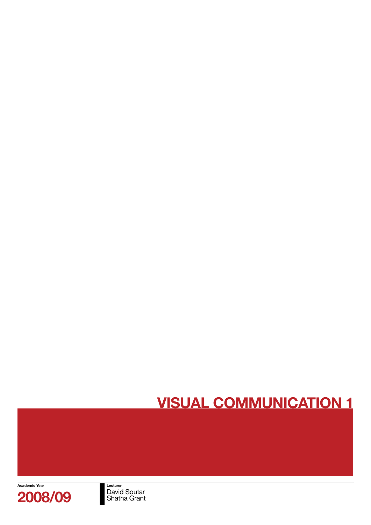

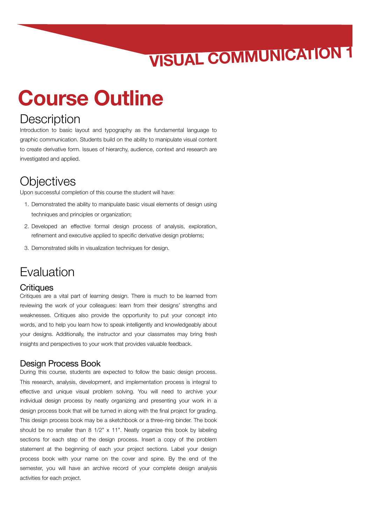## **Course Outline**

### **Description**

Introduction to basic layout and typography as the fundamental language to graphic communication. Students build on the ability to manipulate visual content to create derivative form. Issues of hierarchy, audience, context and research are investigated and applied.

### **Objectives**

Upon successful completion of this course the student will have:

- 1. Demonstrated the ability to manipulate basic visual elements of design using techniques and principles or organization;
- 2. Developed an effective formal design process of analysis, exploration, refinement and executive applied to specific derivative design problems;
- 3. Demonstrated skills in visualization techniques for design.

## Evaluation

#### **Critiques**

Critiques are a vital part of learning design. There is much to be learned from reviewing the work of your colleagues: learn from their designs' strengths and weaknesses. Critiques also provide the opportunity to put your concept into words, and to help you learn how to speak intelligently and knowledgeably about your designs. Additionally, the instructor and your classmates may bring fresh insights and perspectives to your work that provides valuable feedback.

#### Design Process Book

During this course, students are expected to follow the basic design process. This research, analysis, development, and implementation process is integral to effective and unique visual problem solving. You will need to archive your individual design process by neatly organizing and presenting your work in a design process book that will be turned in along with the final project for grading. This design process book may be a sketchbook or a three-ring binder. The book should be no smaller than 8 1/2" x 11". Neatly organize this book by labeling sections for each step of the design process. Insert a copy of the problem statement at the beginning of each your project sections. Label your design process book with your name on the cover and spine. By the end of the semester, you will have an archive record of your complete design analysis activities for each project.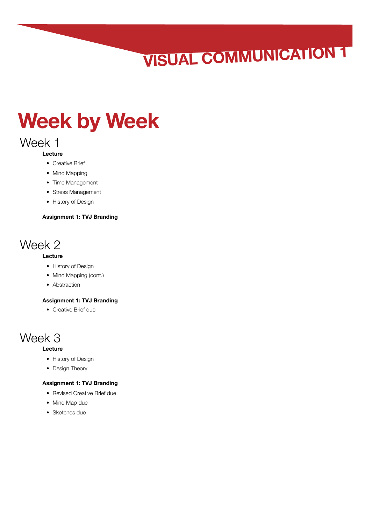## **Week by Week**

### Week 1

#### **Lecture**

- Creative Brief
- Mind Mapping
- Time Management
- Stress Management
- History of Design

#### **Assignment 1: TVJ Branding**

### Week 2

#### **Lecture**

- History of Design
- Mind Mapping (cont.)
- Abstraction

#### **Assignment 1: TVJ Branding**

• Creative Brief due

## Week 3

#### **Lecture**

- History of Design
- Design Theory

#### **Assignment 1: TVJ Branding**

- Revised Creative Brief due
- Mind Map due
- Sketches due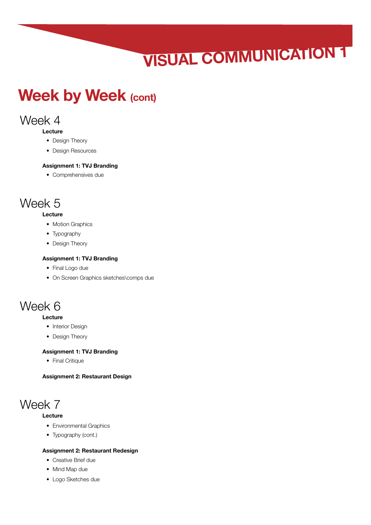## **Week by Week (cont)**

## Week 4

#### **Lecture**

- Design Theory
- Design Resources

#### **Assignment 1: TVJ Branding**

• Comprehensives due

## Week 5

#### **Lecture**

- Motion Graphics
- Typography
- Design Theory

#### **Assignment 1: TVJ Branding**

- Final Logo due
- On Screen Graphics sketches\comps due

### Week 6

#### **Lecture**

- Interior Design
- Design Theory

#### **Assignment 1: TVJ Branding**

• Final Critique

**Assignment 2: Restaurant Design**

## Week 7

#### **Lecture**

- Environmental Graphics
- Typography (cont.)

#### **Assignment 2: Restaurant Redesign**

- Creative Brief due
- Mind Map due
- Logo Sketches due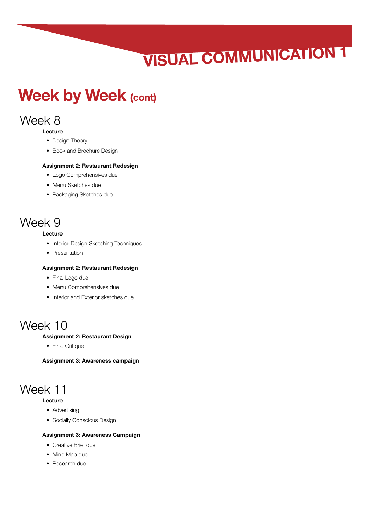## **Week by Week (cont)**

## Week 8

#### **Lecture**

- Design Theory
- Book and Brochure Design

#### **Assignment 2: Restaurant Redesign**

- Logo Comprehensives due
- Menu Sketches due
- Packaging Sketches due

## Week 9

#### **Lecture**

- Interior Design Sketching Techniques
- Presentation

#### **Assignment 2: Restaurant Redesign**

- Final Logo due
- Menu Comprehensives due
- Interior and Exterior sketches due

## Week 10

#### **Assignment 2: Restaurant Design**

• Final Critique

**Assignment 3: Awareness campaign**

## Week 11

#### **Lecture**

- Advertising
- Socially Conscious Design

#### **Assignment 3: Awareness Campaign**

- Creative Brief due
- Mind Map due
- Research due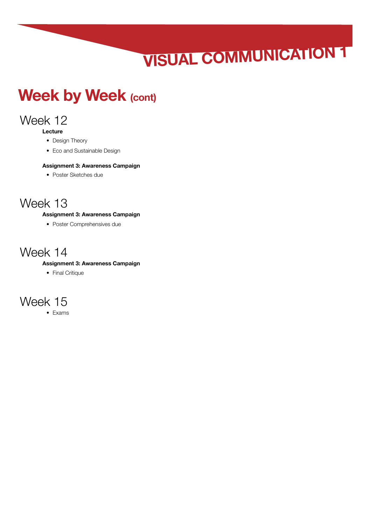## **Week by Week (cont)**

## Week 12

**Lecture**

- Design Theory
- Eco and Sustainable Design

#### **Assignment 3: Awareness Campaign**

• Poster Sketches due

### Week 13

#### **Assignment 3: Awareness Campaign**

• Poster Comprehensives due

### Week 14

#### **Assignment 3: Awareness Campaign**

• Final Critique

## Week 15

• Exams